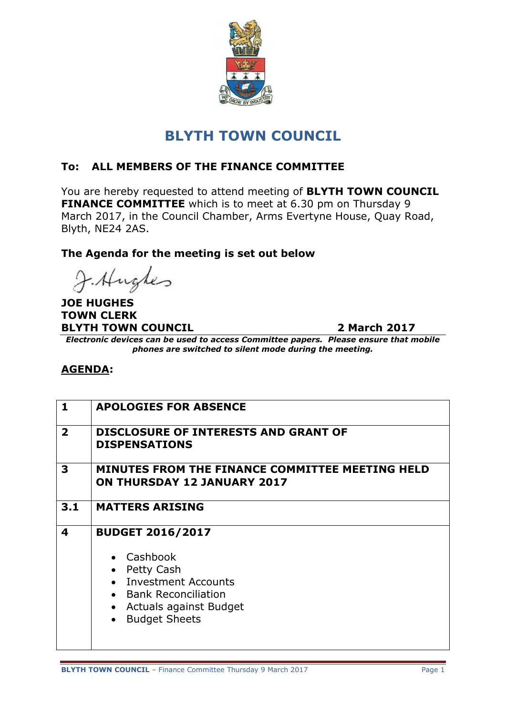

# **BLYTH TOWN COUNCIL**

## **To: ALL MEMBERS OF THE FINANCE COMMITTEE**

You are hereby requested to attend meeting of **BLYTH TOWN COUNCIL FINANCE COMMITTEE** which is to meet at 6.30 pm on Thursday 9 March 2017, in the Council Chamber, Arms Evertyne House, Quay Road, Blyth, NE24 2AS.

#### **The Agenda for the meeting is set out below**

J. Hughes

#### **JOE HUGHES TOWN CLERK BLYTH TOWN COUNCIL 2 March 2017**

*Electronic devices can be used to access Committee papers. Please ensure that mobile phones are switched to silent mode during the meeting.*

### **AGENDA:**

| $\mathbf{1}$            | <b>APOLOGIES FOR ABSENCE</b>                                                                                                                              |
|-------------------------|-----------------------------------------------------------------------------------------------------------------------------------------------------------|
| $\overline{2}$          | <b>DISCLOSURE OF INTERESTS AND GRANT OF</b><br><b>DISPENSATIONS</b>                                                                                       |
| 3                       | MINUTES FROM THE FINANCE COMMITTEE MEETING HELD<br><b>ON THURSDAY 12 JANUARY 2017</b>                                                                     |
| 3.1                     | <b>MATTERS ARISING</b>                                                                                                                                    |
| $\overline{\mathbf{4}}$ | <b>BUDGET 2016/2017</b><br>• Cashbook<br>Petty Cash<br>• Investment Accounts<br>• Bank Reconciliation<br>• Actuals against Budget<br><b>Budget Sheets</b> |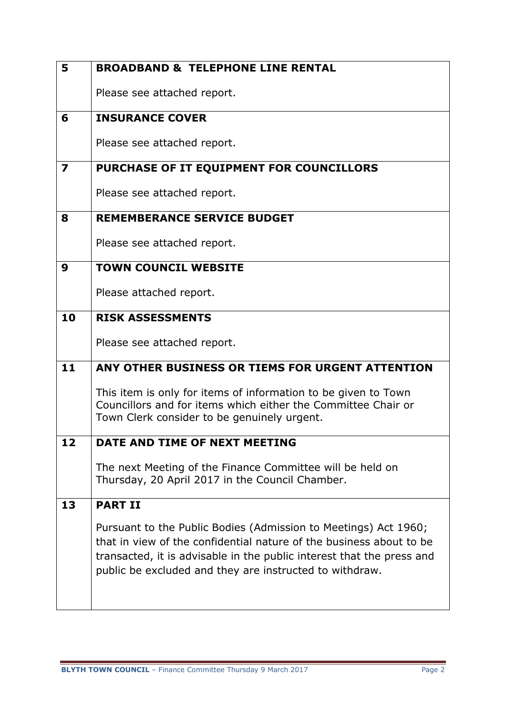| 5  | <b>BROADBAND &amp; TELEPHONE LINE RENTAL</b>                                                                                                                                                                                                                               |
|----|----------------------------------------------------------------------------------------------------------------------------------------------------------------------------------------------------------------------------------------------------------------------------|
|    | Please see attached report.                                                                                                                                                                                                                                                |
| 6  | <b>INSURANCE COVER</b>                                                                                                                                                                                                                                                     |
|    | Please see attached report.                                                                                                                                                                                                                                                |
| 7  | PURCHASE OF IT EQUIPMENT FOR COUNCILLORS                                                                                                                                                                                                                                   |
|    | Please see attached report.                                                                                                                                                                                                                                                |
| 8  | <b>REMEMBERANCE SERVICE BUDGET</b>                                                                                                                                                                                                                                         |
|    | Please see attached report.                                                                                                                                                                                                                                                |
| 9  | <b>TOWN COUNCIL WEBSITE</b>                                                                                                                                                                                                                                                |
|    | Please attached report.                                                                                                                                                                                                                                                    |
| 10 | <b>RISK ASSESSMENTS</b>                                                                                                                                                                                                                                                    |
|    | Please see attached report.                                                                                                                                                                                                                                                |
| 11 | ANY OTHER BUSINESS OR TIEMS FOR URGENT ATTENTION                                                                                                                                                                                                                           |
|    | This item is only for items of information to be given to Town<br>Councillors and for items which either the Committee Chair or<br>Town Clerk consider to be genuinely urgent.                                                                                             |
| 12 | DATE AND TIME OF NEXT MEETING                                                                                                                                                                                                                                              |
|    | The next Meeting of the Finance Committee will be held on<br>Thursday, 20 April 2017 in the Council Chamber.                                                                                                                                                               |
| 13 | <b>PART II</b>                                                                                                                                                                                                                                                             |
|    | Pursuant to the Public Bodies (Admission to Meetings) Act 1960;<br>that in view of the confidential nature of the business about to be<br>transacted, it is advisable in the public interest that the press and<br>public be excluded and they are instructed to withdraw. |